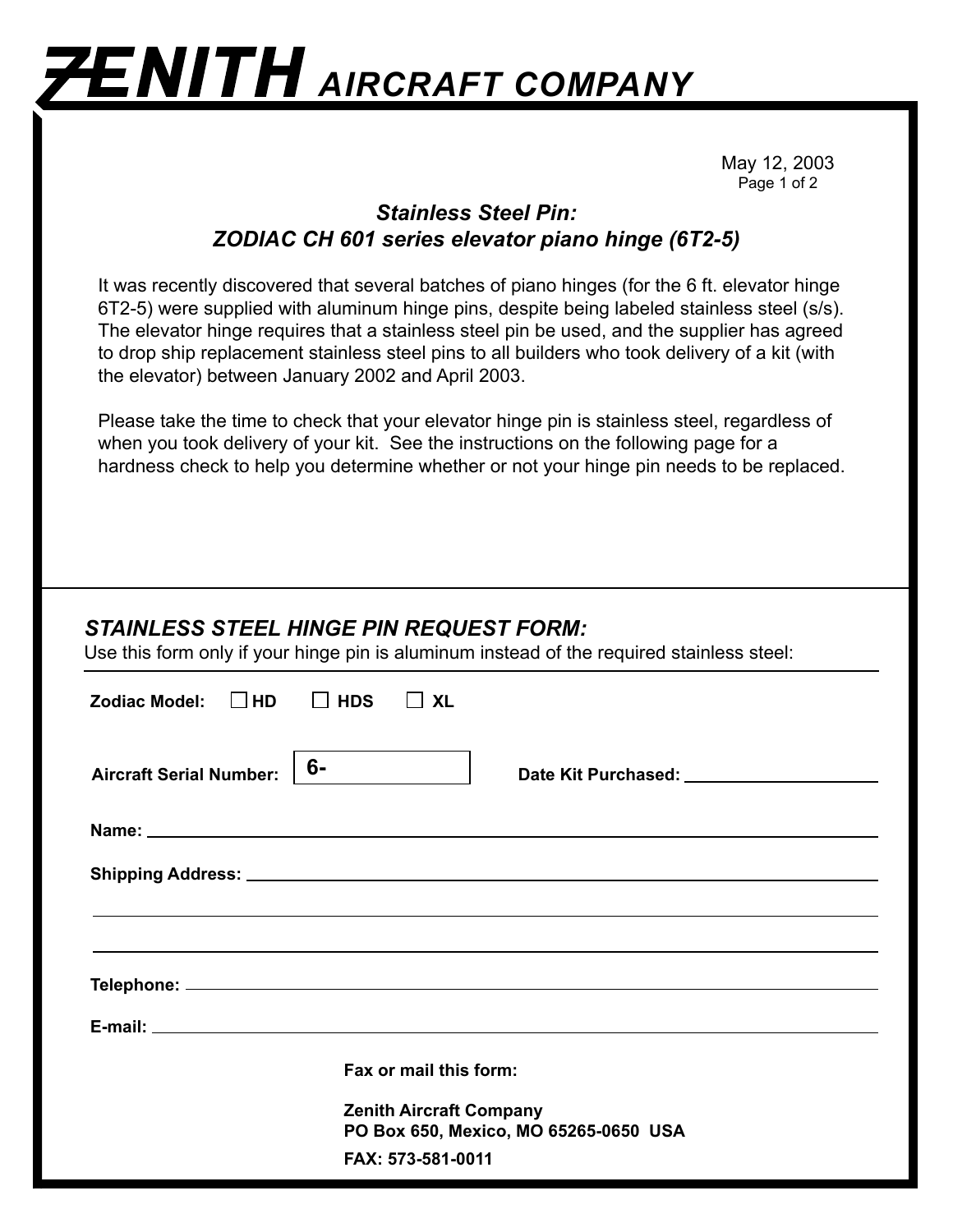## **ZENITH** AIRCRAFT COMPANY

May 12, 2003 Page 1 of 2

## *Stainless Steel Pin: ZODIAC CH 601 series elevator piano hinge (6T2-5)*

It was recently discovered that several batches of piano hinges (for the 6 ft. elevator hinge 6T2-5) were supplied with aluminum hinge pins, despite being labeled stainless steel (s/s). The elevator hinge requires that a stainless steel pin be used, and the supplier has agreed to drop ship replacement stainless steel pins to all builders who took delivery of a kit (with the elevator) between January 2002 and April 2003.

Please take the time to check that your elevator hinge pin is stainless steel, regardless of when you took delivery of your kit. See the instructions on the following page for a hardness check to help you determine whether or not your hinge pin needs to be replaced.

## *STAINLESS STEEL HINGE PIN REQUEST FORM:*

Use this form only if your hinge pin is aluminum instead of the required stainless steel:

| Zodiac Model: $\Box$ HD $\Box$ HDS   | $\Box$ XL                                                                                                            |
|--------------------------------------|----------------------------------------------------------------------------------------------------------------------|
| 6-<br><b>Aircraft Serial Number:</b> | Date Kit Purchased: ______________________                                                                           |
|                                      |                                                                                                                      |
|                                      |                                                                                                                      |
|                                      | ,我们也不能会在这里,我们也不能会在这里,我们也不能会在这里,我们也不能会在这里,我们也不能会在这里,我们也不能会在这里,我们也不能会不能会不能会。""我们,我们                                    |
|                                      |                                                                                                                      |
|                                      |                                                                                                                      |
|                                      | E-mail: <u>Andreas Andreas Andreas Andreas Andreas Andreas Andreas Andreas Andreas Andreas Andreas Andreas Andre</u> |
|                                      | Fax or mail this form:                                                                                               |
|                                      | <b>Zenith Aircraft Company</b><br>PO Box 650, Mexico, MO 65265-0650 USA<br>FAX: 573-581-0011                         |